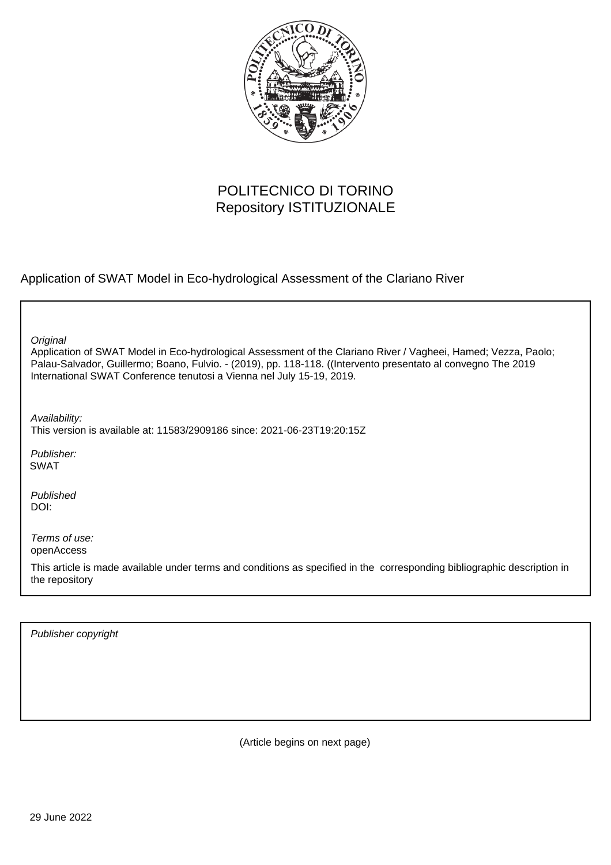

## POLITECNICO DI TORINO Repository ISTITUZIONALE

Application of SWAT Model in Eco-hydrological Assessment of the Clariano River

Application of SWAT Model in Eco-hydrological Assessment of the Clariano River / Vagheei, Hamed; Vezza, Paolo; Palau-Salvador, Guillermo; Boano, Fulvio. - (2019), pp. 118-118. ((Intervento presentato al convegno The 2019 International SWAT Conference tenutosi a Vienna nel July 15-19, 2019. **Original** Publisher: Published DOI: Terms of use: openAccess This article is made available under terms and conditions as specified in the corresponding bibliographic description in the repository Availability: This version is available at: 11583/2909186 since: 2021-06-23T19:20:15Z SWAT

Publisher copyright

(Article begins on next page)